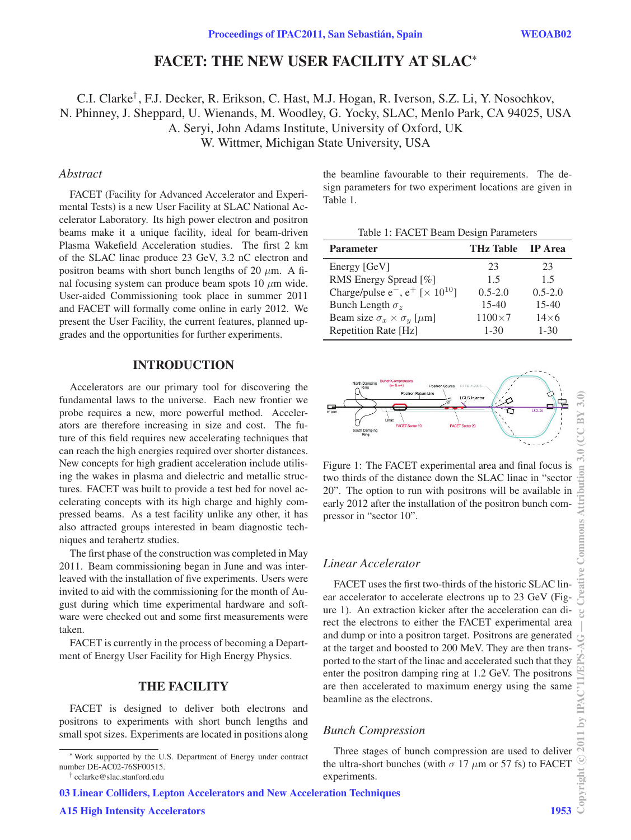# FACET: THE NEW USER FACILITY AT SLAC<sup>∗</sup>

C.I. Clarke† , F.J. Decker, R. Erikson, C. Hast, M.J. Hogan, R. Iverson, S.Z. Li, Y. Nosochkov, N. Phinney, J. Sheppard, U. Wienands, M. Woodley, G. Yocky, SLAC, Menlo Park, CA 94025, USA A. Seryi, John Adams Institute, University of Oxford, UK W. Wittmer, Michigan State University, USA

# *Abstract*

FACET (Facility for Advanced Accelerator and Experimental Tests) is a new User Facility at SLAC National Accelerator Laboratory. Its high power electron and positron beams make it a unique facility, ideal for beam-driven Plasma Wakefield Acceleration studies. The first 2 km of the SLAC linac produce 23 GeV, 3.2 nC electron and positron beams with short bunch lengths of 20  $\mu$ m. A final focusing system can produce beam spots 10  $\mu$ m wide. User-aided Commissioning took place in summer 2011 and FACET will formally come online in early 2012. We present the User Facility, the current features, planned upgrades and the opportunities for further experiments.

# INTRODUCTION

Accelerators are our primary tool for discovering the fundamental laws to the universe. Each new frontier we probe requires a new, more powerful method. Accelerators are therefore increasing in size and cost. The future of this field requires new accelerating techniques that can reach the high energies required over shorter distances. New concepts for high gradient acceleration include utilising the wakes in plasma and dielectric and metallic structures. FACET was built to provide a test bed for novel accelerating concepts with its high charge and highly compressed beams. As a test facility unlike any other, it has also attracted groups interested in beam diagnostic techniques and terahertz studies.

The first phase of the construction was completed in May 2011. Beam commissioning began in June and was interleaved with the installation of five experiments. Users were invited to aid with the commissioning for the month of August during which time experimental hardware and software were checked out and some first measurements were taken.

FACET is currently in the process of becoming a Department of Energy User Facility for High Energy Physics.

# THE FACILITY

FACET is designed to deliver both electrons and positrons to experiments with short bunch lengths and small spot sizes. Experiments are located in positions along

03 Linear Colliders, Lepton Accelerators and New Acceleration Techniques

the beamline favourable to their requirements. The design parameters for two experiment locations are given in Table 1.

| <b>Parameter</b>                                         | <b>THz Table IP Area</b> |              |
|----------------------------------------------------------|--------------------------|--------------|
| Energy [GeV]                                             | 23                       | 23           |
| RMS Energy Spread [%]                                    | 1.5                      | 1.5          |
| Charge/pulse $e^-$ , $e^+$ [ $\times$ 10 <sup>10</sup> ] | $0.5 - 2.0$              | $0.5 - 2.0$  |
| Bunch Length $\sigma_z$                                  | $15-40$                  | $15-40$      |
| Beam size $\sigma_x \times \sigma_y$ [ $\mu$ m]          | $1100\times7$            | $14\times 6$ |
| Repetition Rate [Hz]                                     | $1 - 30$                 | $1 - 30$     |



Figure 1: The FACET experimental area and final focus is two thirds of the distance down the SLAC linac in "sector 20". The option to run with positrons will be available in early 2012 after the installation of the positron bunch compressor in "sector 10".

# *Linear Accelerator*

FACET uses the first two-thirds of the historic SLAC linear accelerator to accelerate electrons up to 23 GeV (Figure 1). An extraction kicker after the acceleration can direct the electrons to either the FACET experimental area and dump or into a positron target. Positrons are generated at the target and boosted to 200 MeV. They are then transported to the start of the linac and accelerated such that they enter the positron damping ring at 1.2 GeV. The positrons are then accelerated to maximum energy using the same beamline as the electrons.

# *Bunch Compression*

Three stages of bunch compression are used to deliver the ultra-short bunches (with  $\sigma$  17  $\mu$ m or 57 fs) to FACET experiments.

<sup>∗</sup>Work supported by the U.S. Department of Energy under contract number DE-AC02-76SF00515.

<sup>†</sup> cclarke@slac.stanford.edu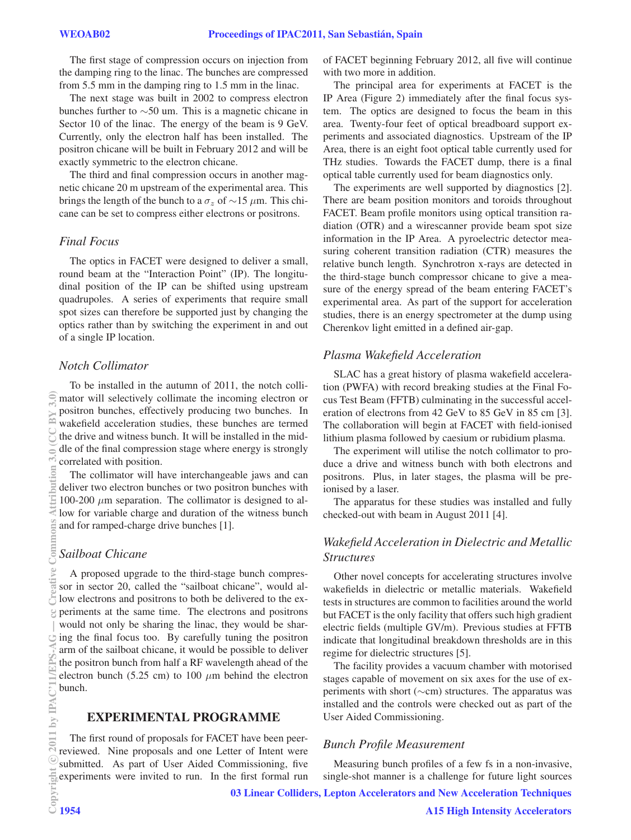The first stage of compression occurs on injection from the damping ring to the linac. The bunches are compressed from 5.5 mm in the damping ring to 1.5 mm in the linac.

The next stage was built in 2002 to compress electron bunches further to ∼50 um. This is a magnetic chicane in Sector 10 of the linac. The energy of the beam is 9 GeV. Currently, only the electron half has been installed. The positron chicane will be built in February 2012 and will be exactly symmetric to the electron chicane.

The third and final compression occurs in another magnetic chicane 20 m upstream of the experimental area. This brings the length of the bunch to a  $\sigma_z$  of ~15 μm. This chicane can be set to compress either electrons or positrons.

# *Final Focus*

The optics in FACET were designed to deliver a small, round beam at the "Interaction Point" (IP). The longitudinal position of the IP can be shifted using upstream quadrupoles. A series of experiments that require small spot sizes can therefore be supported just by changing the optics rather than by switching the experiment in and out of a single IP location.

# *Notch Collimator*

To be installed in the autumn of 2011, the notch collimator will selectively collimate the incoming electron or positron bunches, effectively producing two bunches. In wakefield acceleration studies, these bunches are termed the drive and witness bunch. It will be installed in the middle of the final compression stage where energy is strongly correlated with position.

The collimator will have interchangeable jaws and can deliver two electron bunches or two positron bunches with 100-200  $\mu$ m separation. The collimator is designed to allow for variable charge and duration of the witness bunch and for ramped-charge drive bunches [1].

# *Sailboat Chicane*

A proposed upgrade to the third-stage bunch compressor in sector 20, called the "sailboat chicane", would allow electrons and positrons to both be delivered to the experiments at the same time. The electrons and positrons would not only be sharing the linac, they would be sharing the final focus too. By carefully tuning the positron arm of the sailboat chicane, it would be possible to deliver the positron bunch from half a RF wavelength ahead of the electron bunch (5.25 cm) to 100  $\mu$ m behind the electron bunch.

#### EXPERIMENTAL PROGRAMME

The first round of proposals for FACET have been peerreviewed. Nine proposals and one Letter of Intent were submitted. As part of User Aided Commissioning, five experiments were invited to run. In the first formal run

of FACET beginning February 2012, all five will continue with two more in addition.

The principal area for experiments at FACET is the IP Area (Figure 2) immediately after the final focus system. The optics are designed to focus the beam in this area. Twenty-four feet of optical breadboard support experiments and associated diagnostics. Upstream of the IP Area, there is an eight foot optical table currently used for THz studies. Towards the FACET dump, there is a final optical table currently used for beam diagnostics only.

The experiments are well supported by diagnostics [2]. There are beam position monitors and toroids throughout FACET. Beam profile monitors using optical transition radiation (OTR) and a wirescanner provide beam spot size information in the IP Area. A pyroelectric detector measuring coherent transition radiation (CTR) measures the relative bunch length. Synchrotron x-rays are detected in the third-stage bunch compressor chicane to give a measure of the energy spread of the beam entering FACET's experimental area. As part of the support for acceleration studies, there is an energy spectrometer at the dump using Cherenkov light emitted in a defined air-gap.

#### *Plasma Wakefield Acceleration*

SLAC has a great history of plasma wakefield acceleration (PWFA) with record breaking studies at the Final Focus Test Beam (FFTB) culminating in the successful acceleration of electrons from 42 GeV to 85 GeV in 85 cm [3]. The collaboration will begin at FACET with field-ionised lithium plasma followed by caesium or rubidium plasma.

The experiment will utilise the notch collimator to produce a drive and witness bunch with both electrons and positrons. Plus, in later stages, the plasma will be preionised by a laser.

The apparatus for these studies was installed and fully checked-out with beam in August 2011 [4].

# *Wakefield Acceleration in Dielectric and Metallic Structures*

Other novel concepts for accelerating structures involve wakefields in dielectric or metallic materials. Wakefield tests in structures are common to facilities around the world but FACET is the only facility that offers such high gradient electric fields (multiple GV/m). Previous studies at FFTB indicate that longitudinal breakdown thresholds are in this regime for dielectric structures [5].

The facility provides a vacuum chamber with motorised stages capable of movement on six axes for the use of experiments with short (∼cm) structures. The apparatus was installed and the controls were checked out as part of the User Aided Commissioning.

#### *Bunch Profile Measurement*

Measuring bunch profiles of a few fs in a non-invasive, single-shot manner is a challenge for future light sources

03 Linear Colliders, Lepton Accelerators and New Acceleration Techniques